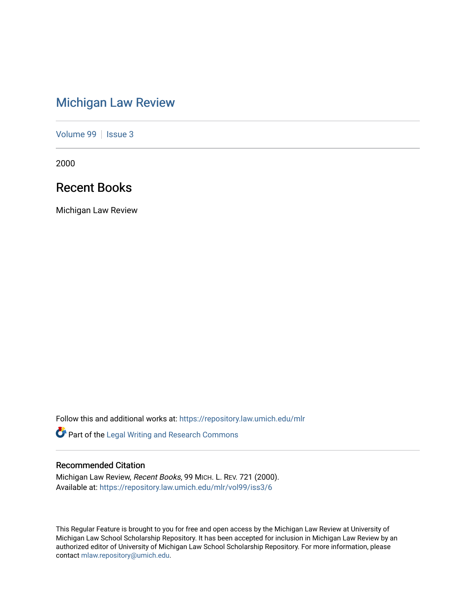# [Michigan Law Review](https://repository.law.umich.edu/mlr)

[Volume 99](https://repository.law.umich.edu/mlr/vol99) | [Issue 3](https://repository.law.umich.edu/mlr/vol99/iss3)

2000

## Recent Books

Michigan Law Review

Follow this and additional works at: [https://repository.law.umich.edu/mlr](https://repository.law.umich.edu/mlr?utm_source=repository.law.umich.edu%2Fmlr%2Fvol99%2Fiss3%2F6&utm_medium=PDF&utm_campaign=PDFCoverPages) 

Part of the [Legal Writing and Research Commons](http://network.bepress.com/hgg/discipline/614?utm_source=repository.law.umich.edu%2Fmlr%2Fvol99%2Fiss3%2F6&utm_medium=PDF&utm_campaign=PDFCoverPages) 

### Recommended Citation

Michigan Law Review, Recent Books, 99 MICH. L. REV. 721 (2000). Available at: [https://repository.law.umich.edu/mlr/vol99/iss3/6](https://repository.law.umich.edu/mlr/vol99/iss3/6?utm_source=repository.law.umich.edu%2Fmlr%2Fvol99%2Fiss3%2F6&utm_medium=PDF&utm_campaign=PDFCoverPages)

This Regular Feature is brought to you for free and open access by the Michigan Law Review at University of Michigan Law School Scholarship Repository. It has been accepted for inclusion in Michigan Law Review by an authorized editor of University of Michigan Law School Scholarship Repository. For more information, please contact [mlaw.repository@umich.edu](mailto:mlaw.repository@umich.edu).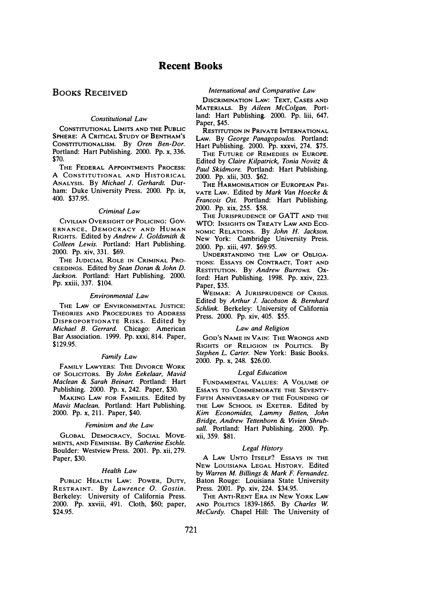### BOOKS RECEIVED

#### Constitutional Law

CONSTITUTIONAL LIMITS AND THE PUBLIC SPHERE: A CRITICAL STUDY OF BENTHAM'S CoNSTITUTIONALISM. By Oren Ben-Dor. Portland: Hart Publishing. 2000. Pp. x, 336. \$70.

THE FEDERAL APPOINTMENTS PROCESS: A CONSTITUTIONAL AND HISTORICAL ANALYSIS. By Michael J. Gerhardt. Durham: Duke University Press. 2000. Pp. ix, 400. \$37.95.

#### Criminal Law

CIVILIAN OVERSIGHT OF POLICING: Gov-E RN ANCE, DEMOCRACY AND HUMAN RIGHTS. Edited by Andrew J. Goldsmith & Colleen Lewis. Portland: Hart Publishing. 2000. Pp. xiv, 331. \$69.

THE JUDICIAL ROLE IN CRIMINAL PRO-CEEDINGS. Edited by Sean Doran & John D. Jackson. Portland: Hart Publishing. 2000. Pp. xxiii, 337. \$104.

#### Environmental Law

THE LAW OF ENVIRONMENTAL JUSTICE: THEORIES AND PROCEDURES TO ADDRESS DISPROPORTIONATE RISKS. Edited by Michael B. Gerrard. Chicago: American Bar Association. 1999. Pp. xxxi, 814. Paper, \$129.95.

#### Family Law

FAMILY LAWYERS: THE DIVORCE WORK OF SOLICITORS. By John Eekelaar, Mavid Maclean & Sarah Beinart. Portland: Hart Publishing. 2000. Pp. x, 242. Paper, \$30.

MAKING LAW FOR FAMILIES. Edited by Mavis Maclean. Portland: Hart Publishing. 2000. Pp. x, 211. Paper, \$40.

#### Feminism and the Law

GLOBAL DEMOCRACY, SOCIAL MOVE-MENTS, AND FEMINISM. By Catherine Eschle. Boulder: Westview Press. 2001. Pp. xii, 279. Paper, \$30.

#### Health Law

PUBLIC HEALTH LAW: POWER, DUTY, RESTRAINT. By Lawrence 0. Gostin. Berkeley: University of California Press. 2000. Pp. xxviii, 491. Cloth, \$60; paper, \$24.95.

#### International and Comparative Law

DISCRIMINATION LAW: TEXT, CASES AND MATERIALS. By Aileen McColgan. Portland: Hart Publishing. 2000. Pp. liii, 647. Paper, \$45.

RESTITUTION IN PRIVATE INTERNATIONAL LAw. By George Panagopoulos. Portland: Hart Publishing. 2000. Pp. xxxvi, 274. \$75. THE FUTURE OF REMEDIES IN EUROPE.

Edited by Claire Kilpatrick, Tonia Novitz & Paul Skidmore. Portland: Hart Publishing. 2000. Pp. xiii, 303. \$62.

THE HARMONISATION OF EUROPEAN PRI-VATE LAW. Edited by Mark Van Hoecke & Francois Ost. Portland: Hart Publishing. 2000. Pp. xix, 255. \$58.

THE JURISPRUDENCE OF GATT AND THE WTO: INSIGHTS oN TREATY LAw AND Eco-NOMIC RELATIONS. By John H. Jackson. New York: Cambridge University Press. 2000. Pp. xiii, 497. \$69.95.

UNDERSTANDING THE LAW OF OBLIGA-TIONS: ESSAYS ON CONTRACT, TORT AND RESTITUTION. By Andrew Burrows. Oxford: Hart Publishing. 1998. Pp. xxiv, 223. Paper, \$35.

WEIMAR: A JURISPRUDENCE OF CRISIS. Edited by Arthur J. Jacobson & Bernhard Schlink. Berkeley: University of California Press. 2000. Pp. xiv, 405. \$55.

#### Law and Religion

GOD'S NAME IN VAIN: THE WRONGS AND RIGHTS OF RELIGION IN POLITICS. By Stephen L. Carter. New York: Basic Books. 2000. Pp. x, 248. \$26.00.

#### Legal Education

FUNDAMENTAL VALUES: A VOLUME OF EssAYS TO COMMEMORATE THE SEVENTY-FIFTH ANNIVERSARY OF THE FOUNDING OF THE LAW SCHOOL IN EXETER. Edited by Kim Economides, Lammy Betten, John Bridge, Andrew Tettenborn & Vivien Shrubsall. Portland: Hart Publishing. 2000. Pp. xii, 359. \$81.

#### Legal History

A LAW UNTO ITSELF? ESSAYS IN THE NEW LOUISIANA LEGAL HISTORY. Edited by Warren M. Billings & Mark F. Fernandez. Baton Rouge: Louisiana State University Press. 2001. Pp. xiv, 224. \$34.95.

THE ANTI-RENT ERA IN NEW YORK LAW AND POLITICS 1839-1865. By Charles W. McCurdy. Chapel Hill: The University of